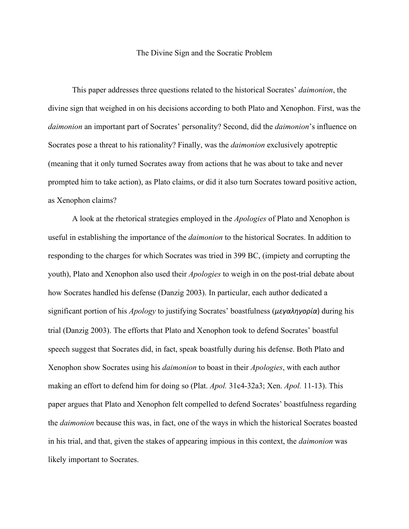## The Divine Sign and the Socratic Problem

This paper addresses three questions related to the historical Socrates' *daimonion*, the divine sign that weighed in on his decisions according to both Plato and Xenophon. First, was the *daimonion* an important part of Socrates' personality? Second, did the *daimonion*'s influence on Socrates pose a threat to his rationality? Finally, was the *daimonion* exclusively apotreptic (meaning that it only turned Socrates away from actions that he was about to take and never prompted him to take action), as Plato claims, or did it also turn Socrates toward positive action, as Xenophon claims?

A look at the rhetorical strategies employed in the *Apologies* of Plato and Xenophon is useful in establishing the importance of the *daimonion* to the historical Socrates. In addition to responding to the charges for which Socrates was tried in 399 BC, (impiety and corrupting the youth), Plato and Xenophon also used their *Apologies* to weigh in on the post-trial debate about how Socrates handled his defense (Danzig 2003). In particular, each author dedicated a significant portion of his *Apology* to justifying Socrates' boastfulness (*μεγαληγορία*) during his trial (Danzig 2003). The efforts that Plato and Xenophon took to defend Socrates' boastful speech suggest that Socrates did, in fact, speak boastfully during his defense. Both Plato and Xenophon show Socrates using his *daimonion* to boast in their *Apologies*, with each author making an effort to defend him for doing so (Plat. *Apol.* 31c4-32a3; Xen. *Apol.* 11-13). This paper argues that Plato and Xenophon felt compelled to defend Socrates' boastfulness regarding the *daimonion* because this was, in fact, one of the ways in which the historical Socrates boasted in his trial, and that, given the stakes of appearing impious in this context, the *daimonion* was likely important to Socrates.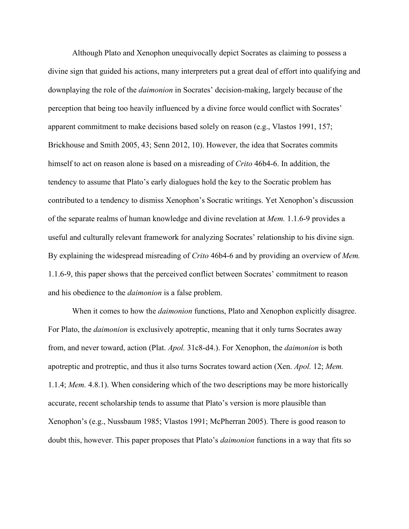Although Plato and Xenophon unequivocally depict Socrates as claiming to possess a divine sign that guided his actions, many interpreters put a great deal of effort into qualifying and downplaying the role of the *daimonion* in Socrates' decision-making, largely because of the perception that being too heavily influenced by a divine force would conflict with Socrates' apparent commitment to make decisions based solely on reason (e.g., Vlastos 1991, 157; Brickhouse and Smith 2005, 43; Senn 2012, 10). However, the idea that Socrates commits himself to act on reason alone is based on a misreading of *Crito* 46b4-6. In addition, the tendency to assume that Plato's early dialogues hold the key to the Socratic problem has contributed to a tendency to dismiss Xenophon's Socratic writings. Yet Xenophon's discussion of the separate realms of human knowledge and divine revelation at *Mem.* 1.1.6-9 provides a useful and culturally relevant framework for analyzing Socrates' relationship to his divine sign. By explaining the widespread misreading of *Crito* 46b4-6 and by providing an overview of *Mem.*  1.1.6-9, this paper shows that the perceived conflict between Socrates' commitment to reason and his obedience to the *daimonion* is a false problem.

When it comes to how the *daimonion* functions, Plato and Xenophon explicitly disagree. For Plato, the *daimonion* is exclusively apotreptic, meaning that it only turns Socrates away from, and never toward, action (Plat. *Apol.* 31c8-d4.). For Xenophon, the *daimonion* is both apotreptic and protreptic, and thus it also turns Socrates toward action (Xen. *Apol.* 12; *Mem.*  1.1.4; *Mem.* 4.8.1). When considering which of the two descriptions may be more historically accurate, recent scholarship tends to assume that Plato's version is more plausible than Xenophon's (e.g., Nussbaum 1985; Vlastos 1991; McPherran 2005). There is good reason to doubt this, however. This paper proposes that Plato's *daimonion* functions in a way that fits so